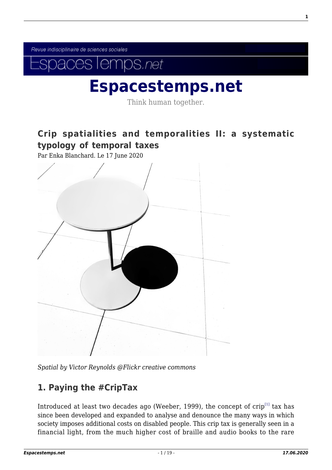Revue indisciplinaire de sciences sociales



# **[Espacestemps.net](https://www.espacestemps.net/)**

Think human together.

# **[Crip spatialities and temporalities II: a systematic](https://www.espacestemps.net/en/articles/crip-spatialities-and-temporalities-ii-a-systematic-typology-of-temporal-taxes/) [typology of temporal taxes](https://www.espacestemps.net/en/articles/crip-spatialities-and-temporalities-ii-a-systematic-typology-of-temporal-taxes/)**

Par Enka Blanchard. Le 17 June 2020



*Spatial by Victor Reynolds @Flickr creative commons*

## <span id="page-0-0"></span>**1. Paying the #CripTax**

Introduced at least two decades ago (Weeber, 1999), the concept of  $\operatorname{crip}^{[1]}$  $\operatorname{crip}^{[1]}$  $\operatorname{crip}^{[1]}$  tax has since been developed and expanded to analyse and denounce the many ways in which society imposes additional costs on disabled people. This crip tax is generally seen in a financial light, from the much higher cost of braille and audio books to the rare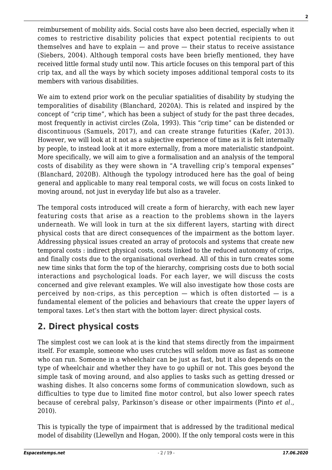reimbursement of mobility aids. Social costs have also been decried, especially when it comes to restrictive disability policies that expect potential recipients to out themselves and have to explain — and prove — their status to receive assistance (Siebers, 2004). Although temporal costs have been briefly mentioned, they have received little formal study until now. This article focuses on this temporal part of this crip tax, and all the ways by which society imposes additional temporal costs to its members with various disabilities.

We aim to extend prior work on the peculiar spatialities of disability by studying the temporalities of disability (Blanchard, 2020A). This is related and inspired by the concept of "crip time", which has been a subject of study for the past three decades, most frequently in activist circles (Zola, 1993). This "crip time" can be distended or discontinuous (Samuels, 2017), and can create strange futurities (Kafer, 2013). However, we will look at it not as a subjective experience of time as it is felt internally by people, to instead look at it more externally, from a more materialistic standpoint. More specifically, we will aim to give a formalisation and an analysis of the temporal costs of disability as they were shown in "A travelling crip's temporal expenses" (Blanchard, 2020B). Although the typology introduced here has the goal of being general and applicable to many real temporal costs, we will focus on costs linked to moving around, not just in everyday life but also as a traveler.

The temporal costs introduced will create a form of hierarchy, with each new layer featuring costs that arise as a reaction to the problems shown in the layers underneath. We will look in turn at the six different layers, starting with direct physical costs that are direct consequences of the impairment as the bottom layer. Addressing physical issues created an array of protocols and systems that create new temporal costs : indirect physical costs, costs linked to the reduced autonomy of crips, and finally costs due to the organisational overhead. All of this in turn creates some new time sinks that form the top of the hierarchy, comprising costs due to both social interactions and psychological loads. For each layer, we will discuss the costs concerned and give relevant examples. We will also investigate how those costs are perceived by non-crips, as this perception  $-$  which is often distorted  $-$  is a fundamental element of the policies and behaviours that create the upper layers of temporal taxes. Let's then start with the bottom layer: direct physical costs.

# **2. Direct physical costs**

The simplest cost we can look at is the kind that stems directly from the impairment itself. For example, someone who uses crutches will seldom move as fast as someone who can run. Someone in a wheelchair can be just as fast, but it also depends on the type of wheelchair and whether they have to go uphill or not. This goes beyond the simple task of moving around, and also applies to tasks such as getting dressed or washing dishes. It also concerns some forms of communication slowdown, such as difficulties to type due to limited fine motor control, but also lower speech rates because of cerebral palsy, Parkinson's disease or other impairments (Pinto *et al.*, 2010).

This is typically the type of impairment that is addressed by the traditional medical model of disability (Llewellyn and Hogan, 2000). If the only temporal costs were in this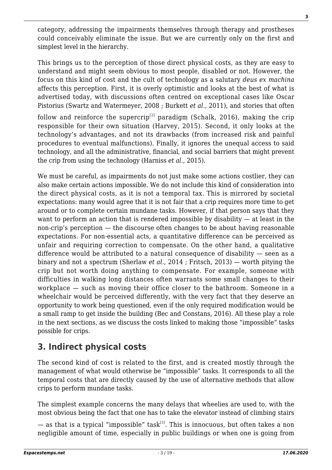category, addressing the impairments themselves through therapy and prostheses could conceivably eliminate the issue. But we are currently only on the first and simplest level in the hierarchy.

This brings us to the perception of those direct physical costs, as they are easy to understand and might seem obvious to most people, disabled or not. However, the focus on this kind of cost and the cult of technology as a salutary *deus ex machina* affects this perception. First, it is overly optimistic and looks at the best of what is advertised today, with discussions often centred on exceptional cases like Oscar Pistorius (Swartz and Watermeyer, 2008 ; Burkett *et al.*, 2011), and stories that often

<span id="page-2-0"></span>follow and reinforce the supercrip<sup>[\[2\]](#page-15-1)</sup> paradigm (Schalk, 2016), making the crip responsible for their own situation (Harvey, 2015). Second, it only looks at the technology's advantages, and not its drawbacks (from increased risk and painful procedures to eventual malfunctions). Finally, it ignores the unequal access to said technology, and all the administrative, financial, and social barriers that might prevent the crip from using the technology (Harniss *et al.*, 2015).

We must be careful, as impairments do not just make some actions costlier, they can also make certain actions impossible. We do not include this kind of consideration into the direct physical costs, as it is not a temporal tax. This is mirrored by societal expectations: many would agree that it is not fair that a crip requires more time to get around or to complete certain mundane tasks. However, if that person says that they want to perform an action that is rendered impossible by disability — at least in the non-crip's perception — the discourse often changes to be about having reasonable expectations. For non-essential acts, a quantitative difference can be perceived as unfair and requiring correction to compensate. On the other hand, a qualitative difference would be attributed to a natural consequence of disability — seen as a binary and not a spectrum (Sherlaw *et al.*, 2014 ; Fritsch, 2013) — worth pitying the crip but not worth doing anything to compensate. For example, someone with difficulties in walking long distances often warrants some small changes to their workplace — such as moving their office closer to the bathroom. Someone in a wheelchair would be perceived differently, with the very fact that they deserve an opportunity to work being questioned, even if the only required modification would be a small ramp to get inside the building (Bec and Constans, 2016). All these play a role in the next sections, as we discuss the costs linked to making those "impossible" tasks possible for crips.

# **3. Indirect physical costs**

The second kind of cost is related to the first, and is created mostly through the management of what would otherwise be "impossible" tasks. It corresponds to all the temporal costs that are directly caused by the use of alternative methods that allow crips to perform mundane tasks.

The simplest example concerns the many delays that wheelies are used to, with the most obvious being the fact that one has to take the elevator instead of climbing stairs

<span id="page-2-1"></span>— as that is a typical "impossible" task<sup>[\[3\]](#page-15-2)</sup>. This is innocuous, but often takes a non negligible amount of time, especially in public buildings or when one is going from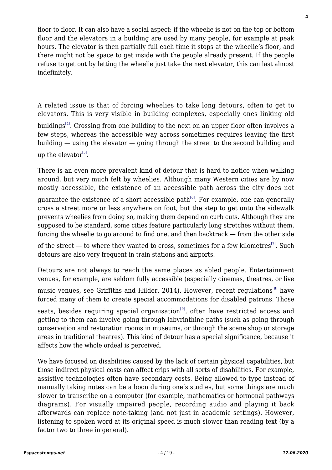floor to floor. It can also have a social aspect: if the wheelie is not on the top or bottom floor and the elevators in a building are used by many people, for example at peak hours. The elevator is then partially full each time it stops at the wheelie's floor, and there might not be space to get inside with the people already present. If the people refuse to get out by letting the wheelie just take the next elevator, this can last almost indefinitely.

<span id="page-3-0"></span>A related issue is that of forcing wheelies to take long detours, often to get to elevators. This is very visible in building complexes, especially ones linking old buildings<sup>[\[4\]](#page-15-3)</sup>. Crossing from one building to the next on an upper floor often involves a few steps, whereas the accessible way across sometimes requires leaving the first building — using the elevator — going through the street to the second building and up the elevator<sup>[\[5\]](#page-15-4)</sup>.

<span id="page-3-1"></span>There is an even more prevalent kind of detour that is hard to notice when walking around, but very much felt by wheelies. Although many Western cities are by now mostly accessible, the existence of an accessible path across the city does not

<span id="page-3-2"></span>quarantee the existence of a short accessible path $^{[6]}$  $^{[6]}$  $^{[6]}$ . For example, one can generally cross a street more or less anywhere on foot, but the step to get onto the sidewalk prevents wheelies from doing so, making them depend on curb cuts. Although they are supposed to be standard, some cities feature particularly long stretches without them, forcing the wheelie to go around to find one, and then backtrack — from the other side

<span id="page-3-3"></span>of the street  $-$  to where they wanted to cross, sometimes for a few kilometres<sup>[\[7\]](#page-15-6)</sup>. Such detours are also very frequent in train stations and airports.

Detours are not always to reach the same places as abled people. Entertainment venues, for example, are seldom fully accessible (especially cinemas, theatres, or live

<span id="page-3-4"></span>music venues, see Griffiths and Hilder, 2014). However, recent regulations<sup>[\[8\]](#page-15-7)</sup> have forced many of them to create special accommodations for disabled patrons. Those

<span id="page-3-5"></span>seats, besides requiring special organisation<sup>[\[9\]](#page-16-0)</sup>, often have restricted access and getting to them can involve going through labyrinthine paths (such as going through conservation and restoration rooms in museums, or through the scene shop or storage areas in traditional theatres). This kind of detour has a special significance, because it affects how the whole ordeal is perceived.

We have focused on disabilities caused by the lack of certain physical capabilities, but those indirect physical costs can affect crips with all sorts of disabilities. For example, assistive technologies often have secondary costs. Being allowed to type instead of manually taking notes can be a boon during one's studies, but some things are much slower to transcribe on a computer (for example, mathematics or hormonal pathways diagrams). For visually impaired people, recording audio and playing it back afterwards can replace note-taking (and not just in academic settings). However, listening to spoken word at its original speed is much slower than reading text (by a factor two to three in general).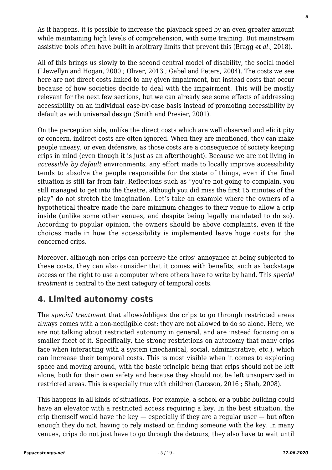As it happens, it is possible to increase the playback speed by an even greater amount while maintaining high levels of comprehension, with some training. But mainstream assistive tools often have built in arbitrary limits that prevent this (Bragg *et al.*, 2018).

All of this brings us slowly to the second central model of disability, the social model (Llewellyn and Hogan, 2000 ; Oliver, 2013 ; Gabel and Peters, 2004). The costs we see here are not direct costs linked to any given impairment, but instead costs that occur because of how societies decide to deal with the impairment. This will be mostly relevant for the next few sections, but we can already see some effects of addressing accessibility on an individual case-by-case basis instead of promoting accessibility by default as with universal design (Smith and Presier, 2001).

On the perception side, unlike the direct costs which are well observed and elicit pity or concern, indirect costs are often ignored. When they are mentioned, they can make people uneasy, or even defensive, as those costs are a consequence of society keeping crips in mind (even though it is just as an afterthought). Because we are not living in *accessible by default* environments, any effort made to locally improve accessibility tends to absolve the people responsible for the state of things, even if the final situation is still far from fair. Reflections such as "you're not going to complain, you still managed to get into the theatre, although you did miss the first 15 minutes of the play" do not stretch the imagination. Let's take an example where the owners of a hypothetical theatre made the bare minimum changes to their venue to allow a crip inside (unlike some other venues, and despite being legally mandated to do so). According to popular opinion, the owners should be above complaints, even if the choices made in how the accessibility is implemented leave huge costs for the concerned crips.

Moreover, although non-crips can perceive the crips' annoyance at being subjected to these costs, they can also consider that it comes with benefits, such as backstage access or the right to use a computer where others have to write by hand. This *special treatment* is central to the next category of temporal costs.

# **4. Limited autonomy costs**

The *special treatment* that allows/obliges the crips to go through restricted areas always comes with a non-negligible cost: they are not allowed to do so alone. Here, we are not talking about restricted autonomy in general, and are instead focusing on a smaller facet of it. Specifically, the strong restrictions on autonomy that many crips face when interacting with a system (mechanical, social, administrative, etc.), which can increase their temporal costs. This is most visible when it comes to exploring space and moving around, with the basic principle being that crips should not be left alone, both for their own safety and because they should not be left unsupervised in restricted areas. This is especially true with children (Larsson, 2016 ; Shah, 2008).

This happens in all kinds of situations. For example, a school or a public building could have an elevator with a restricted access requiring a key. In the best situation, the crip themself would have the key  $-$  especially if they are a regular user  $-$  but often enough they do not, having to rely instead on finding someone with the key. In many venues, crips do not just have to go through the detours, they also have to wait until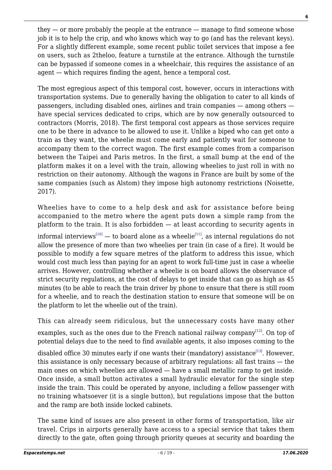they — or more probably the people at the entrance — manage to find someone whose job it is to help the crip, and who knows which way to go (and has the relevant keys). For a slightly different example, some recent public toilet services that impose a fee on users, such as 2theloo, feature a turnstile at the entrance. Although the turnstile can be bypassed if someone comes in a wheelchair, this requires the assistance of an agent — which requires finding the agent, hence a temporal cost.

The most egregious aspect of this temporal cost, however, occurs in interactions with transportation systems. Due to generally having the obligation to cater to all kinds of passengers, including disabled ones, airlines and train companies — among others have special services dedicated to crips, which are by now generally outsourced to contractors (Morris, 2018). The first temporal cost appears as those services require one to be there in advance to be allowed to use it. Unlike a biped who can get onto a train as they want, the wheelie must come early and patiently wait for someone to accompany them to the correct wagon. The first example comes from a comparison between the Taipei and Paris metros. In the first, a small bump at the end of the platform makes it on a level with the train, allowing wheelies to just roll in with no restriction on their autonomy. Although the wagons in France are built by some of the same companies (such as Alstom) they impose high autonomy restrictions (Noisette, 2017).

<span id="page-5-0"></span>Wheelies have to come to a help desk and ask for assistance before being accompanied to the metro where the agent puts down a simple ramp from the platform to the train. It is also forbidden — at least according to security agents in informal interviews<sup>[\[10\]](#page-16-1)</sup> — to board alone as a wheelie<sup>[\[11\]](#page-16-2)</sup>, as internal regulations do not allow the presence of more than two wheelies per train (in case of a fire). It would be possible to modify a few square metres of the platform to address this issue, which would cost much less than paying for an agent to work full-time just in case a wheelie arrives. However, controlling whether a wheelie is on board allows the observance of strict security regulations, at the cost of delays to get inside that can go as high as 45 minutes (to be able to reach the train driver by phone to ensure that there is still room for a wheelie, and to reach the destination station to ensure that someone will be on the platform to let the wheelie out of the train).

This can already seem ridiculous, but the unnecessary costs have many other

<span id="page-5-1"></span>examples, such as the ones due to the French national railway company<sup>[\[12\]](#page-16-3)</sup>. On top of potential delays due to the need to find available agents, it also imposes coming to the

<span id="page-5-2"></span>disabled office 30 minutes early if one wants their (mandatory) assistance<sup>[\[13\]](#page-16-4)</sup>. However, this assistance is only necessary because of arbitrary regulations: all fast trains — the main ones on which wheelies are allowed — have a small metallic ramp to get inside. Once inside, a small button activates a small hydraulic elevator for the single step inside the train. This could be operated by anyone, including a fellow passenger with no training whatsoever (it is a single button), but regulations impose that the button and the ramp are both inside locked cabinets.

The same kind of issues are also present in other forms of transportation, like air travel. Crips in airports generally have access to a special service that takes them directly to the gate, often going through priority queues at security and boarding the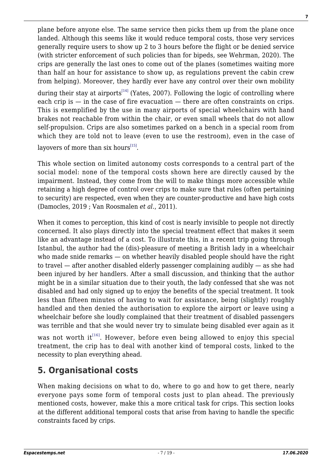plane before anyone else. The same service then picks them up from the plane once landed. Although this seems like it would reduce temporal costs, those very services generally require users to show up 2 to 3 hours before the flight or be denied service (with stricter enforcement of such policies than for bipeds, see Wehrman, 2020). The crips are generally the last ones to come out of the planes (sometimes waiting more than half an hour for assistance to show up, as regulations prevent the cabin crew from helping). Moreover, they hardly ever have any control over their own mobility

<span id="page-6-0"></span>during their stay at airports<sup>[\[14\]](#page-16-5)</sup> (Yates, 2007). Following the logic of controlling where each crip is — in the case of fire evacuation — there are often constraints on crips. This is exemplified by the use in many airports of special wheelchairs with hand brakes not reachable from within the chair, or even small wheels that do not allow self-propulsion. Crips are also sometimes parked on a bench in a special room from which they are told not to leave (even to use the restroom), even in the case of

<span id="page-6-1"></span>layovers of more than six hours $^{[15]}$  $^{[15]}$  $^{[15]}$ .

This whole section on limited autonomy costs corresponds to a central part of the social model: none of the temporal costs shown here are directly caused by the impairment. Instead, they come from the will to make things more accessible while retaining a high degree of control over crips to make sure that rules (often pertaining to security) are respected, even when they are counter-productive and have high costs (Damocles, 2019 ; Van Roosmalen *et al.*, 2011).

When it comes to perception, this kind of cost is nearly invisible to people not directly concerned. It also plays directly into the special treatment effect that makes it seem like an advantage instead of a cost. To illustrate this, in a recent trip going through Istanbul, the author had the (dis)-pleasure of meeting a British lady in a wheelchair who made snide remarks — on whether heavily disabled people should have the right to travel — after another disabled elderly passenger complaining audibly — as she had been injured by her handlers. After a small discussion, and thinking that the author might be in a similar situation due to their youth, the lady confessed that she was not disabled and had only signed up to enjoy the benefits of the special treatment. It took less than fifteen minutes of having to wait for assistance, being (slightly) roughly handled and then denied the authorisation to explore the airport or leave using a wheelchair before she loudly complained that their treatment of disabled passengers was terrible and that she would never try to simulate being disabled ever again as it

<span id="page-6-2"></span>was not worth it<sup>[\[16\]](#page-16-7)</sup>. However, before even being allowed to enjoy this special treatment, the crip has to deal with another kind of temporal costs, linked to the necessity to plan everything ahead.

# **5. Organisational costs**

When making decisions on what to do, where to go and how to get there, nearly everyone pays some form of temporal costs just to plan ahead. The previously mentioned costs, however, make this a more critical task for crips. This section looks at the different additional temporal costs that arise from having to handle the specific constraints faced by crips.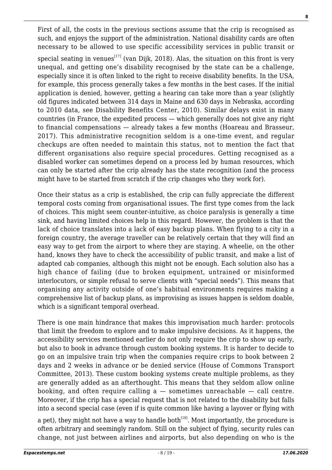First of all, the costs in the previous sections assume that the crip is recognised as such, and enjoys the support of the administration. National disability cards are often necessary to be allowed to use specific accessibility services in public transit or

<span id="page-7-0"></span>special seating in venues $^{[17]}$  $^{[17]}$  $^{[17]}$  (van Dijk, 2018). Alas, the situation on this front is very unequal, and getting one's disability recognised by the state can be a challenge, especially since it is often linked to the right to receive disability benefits. In the USA, for example, this process generally takes a few months in the best cases. If the initial application is denied, however, getting a hearing can take more than a year (slightly old figures indicated between 314 days in Maine and 630 days in Nebraska, according to 2010 data, see Disability Benefits Center, 2010). Similar delays exist in many countries (in France, the expedited process — which generally does not give any right to financial compensations — already takes a few months (Hoareau and Brasseur, 2017). This administrative recognition seldom is a one-time event, and regular checkups are often needed to maintain this status, not to mention the fact that different organisations also require special procedures. Getting recognised as a disabled worker can sometimes depend on a process led by human resources, which can only be started after the crip already has the state recognition (and the process might have to be started from scratch if the crip changes who they work for).

Once their status as a crip is established, the crip can fully appreciate the different temporal costs coming from organisational issues. The first type comes from the lack of choices. This might seem counter-intuitive, as choice paralysis is generally a time sink, and having limited choices help in this regard. However, the problem is that the lack of choice translates into a lack of easy backup plans. When flying to a city in a foreign country, the average traveller can be relatively certain that they will find an easy way to get from the airport to where they are staying. A wheelie, on the other hand, knows they have to check the accessibility of public transit, and make a list of adapted cab companies, although this might not be enough. Each solution also has a high chance of failing (due to broken equipment, untrained or misinformed interlocutors, or simple refusal to serve clients with "special needs"). This means that organising any activity outside of one's habitual environments requires making a comprehensive list of backup plans, as improvising as issues happen is seldom doable, which is a significant temporal overhead.

There is one main hindrance that makes this improvisation much harder: protocols that limit the freedom to explore and to make impulsive decisions. As it happens, the accessibility services mentioned earlier do not only require the crip to show up early, but also to book in advance through custom booking systems. It is harder to decide to go on an impulsive train trip when the companies require crips to book between 2 days and 2 weeks in advance or be denied service (House of Commons Transport Committee, 2013). These custom booking systems create multiple problems, as they are generally added as an afterthought. This means that they seldom allow online booking, and often require calling  $a$  – sometimes unreachable – call centre. Moreover, if the crip has a special request that is not related to the disability but falls into a second special case (even if is quite common like having a layover or flying with

<span id="page-7-1"></span>a pet), they might not have a way to handle both<sup>[\[18\]](#page-16-9)</sup>. Most importantly, the procedure is often arbitrary and seemingly random. Still on the subject of flying, security rules can change, not just between airlines and airports, but also depending on who is the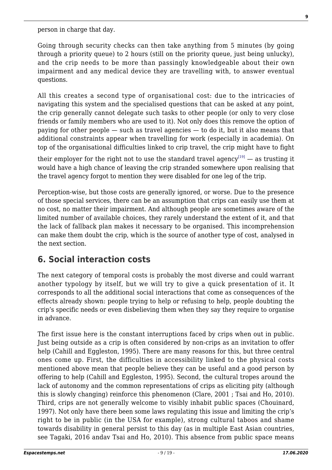person in charge that day.

Going through security checks can then take anything from 5 minutes (by going through a priority queue) to 2 hours (still on the priority queue, just being unlucky), and the crip needs to be more than passingly knowledgeable about their own impairment and any medical device they are travelling with, to answer eventual questions.

All this creates a second type of organisational cost: due to the intricacies of navigating this system and the specialised questions that can be asked at any point, the crip generally cannot delegate such tasks to other people (or only to very close friends or family members who are used to it). Not only does this remove the option of paying for other people — such as travel agencies — to do it, but it also means that additional constraints appear when travelling for work (especially in academia). On top of the organisational difficulties linked to crip travel, the crip might have to fight

<span id="page-8-0"></span>their employer for the right not to use the standard travel agency<sup>[\[19\]](#page-16-10)</sup>  $-$  as trusting it would have a high chance of leaving the crip stranded somewhere upon realising that the travel agency forgot to mention they were disabled for one leg of the trip.

Perception-wise, but those costs are generally ignored, or worse. Due to the presence of those special services, there can be an assumption that crips can easily use them at no cost, no matter their impairment. And although people are sometimes aware of the limited number of available choices, they rarely understand the extent of it, and that the lack of fallback plan makes it necessary to be organised. This incomprehension can make them doubt the crip, which is the source of another type of cost, analysed in the next section.

# **6. Social interaction costs**

The next category of temporal costs is probably the most diverse and could warrant another typology by itself, but we will try to give a quick presentation of it. It corresponds to all the additional social interactions that come as consequences of the effects already shown: people trying to help or refusing to help, people doubting the crip's specific needs or even disbelieving them when they say they require to organise in advance.

The first issue here is the constant interruptions faced by crips when out in public. Just being outside as a crip is often considered by non-crips as an invitation to offer help (Cahill and Eggleston, 1995). There are many reasons for this, but three central ones come up. First, the difficulties in accessibility linked to the physical costs mentioned above mean that people believe they can be useful and a good person by offering to help (Cahill and Eggleston, 1995). Second, the cultural tropes around the lack of autonomy and the common representations of crips as eliciting pity (although this is slowly changing) reinforce this phenomenon (Clare, 2001 ; Tsai and Ho, 2010). Third, crips are not generally welcome to visibly inhabit public spaces (Chouinard, 1997). Not only have there been some laws regulating this issue and limiting the crip's right to be in public (in the USA for example), strong cultural taboos and shame towards disability in general persist to this day (as in multiple East Asian countries, see Tagaki, 2016 andav Tsai and Ho, 2010). This absence from public space means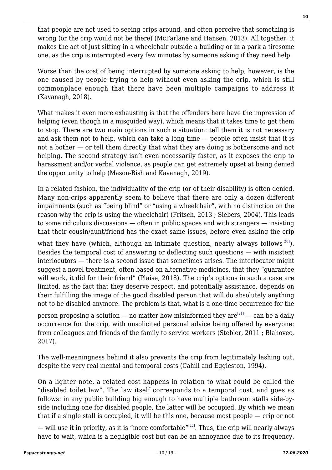that people are not used to seeing crips around, and often perceive that something is wrong (or the crip would not be there) (McFarlane and Hansen, 2013). All together, it makes the act of just sitting in a wheelchair outside a building or in a park a tiresome one, as the crip is interrupted every few minutes by someone asking if they need help.

Worse than the cost of being interrupted by someone asking to help, however, is the one caused by people trying to help without even asking the crip, which is still commonplace enough that there have been multiple campaigns to address it (Kavanagh, 2018).

What makes it even more exhausting is that the offenders here have the impression of helping (even though in a misguided way), which means that it takes time to get them to stop. There are two main options in such a situation: tell them it is not necessary and ask them not to help, which can take a long time — people often insist that it is not a bother — or tell them directly that what they are doing is bothersome and not helping. The second strategy isn't even necessarily faster, as it exposes the crip to harassment and/or verbal violence, as people can get extremely upset at being denied the opportunity to help (Mason-Bish and Kavanagh, 2019).

In a related fashion, the individuality of the crip (or of their disability) is often denied. Many non-crips apparently seem to believe that there are only a dozen different impairments (such as "being blind" or "using a wheelchair", with no distinction on the reason why the crip is using the wheelchair) (Fritsch, 2013 ; Siebers, 2004). This leads to some ridiculous discussions — often in public spaces and with strangers — insisting that their cousin/aunt/friend has the exact same issues, before even asking the crip

<span id="page-9-0"></span>what they have (which, although an intimate question, nearly always follows<sup>[\[20\]](#page-16-11)</sup>). Besides the temporal cost of answering or deflecting such questions — with insistent interlocutors — there is a second issue that sometimes arises. The interlocutor might suggest a novel treatment, often based on alternative medicines, that they "guarantee will work, it did for their friend" (Plaise, 2018). The crip's options in such a case are limited, as the fact that they deserve respect, and potentially assistance, depends on their fulfilling the image of the good disabled person that will do absolutely anything not to be disabled anymore. The problem is that, what is a one-time occurrence for the

<span id="page-9-1"></span>person proposing a solution — no matter how misinformed they  $are^{[21]}$  $are^{[21]}$  $are^{[21]}$  — can be a daily occurrence for the crip, with unsolicited personal advice being offered by everyone: from colleagues and friends of the family to service workers (Stebler, 2011 ; Blahovec, 2017).

The well-meaningness behind it also prevents the crip from legitimately lashing out, despite the very real mental and temporal costs (Cahill and Eggleston, 1994).

On a lighter note, a related cost happens in relation to what could be called the "disabled toilet law". The law itself corresponds to a temporal cost, and goes as follows: in any public building big enough to have multiple bathroom stalls side-byside including one for disabled people, the latter will be occupied. By which we mean that if a single stall is occupied, it will be this one, because most people — crip or not

<span id="page-9-2"></span>— will use it in priority, as it is "more comfortable"<sup>[\[22\]](#page-17-1)</sup>. Thus, the crip will nearly always have to wait, which is a negligible cost but can be an annoyance due to its frequency.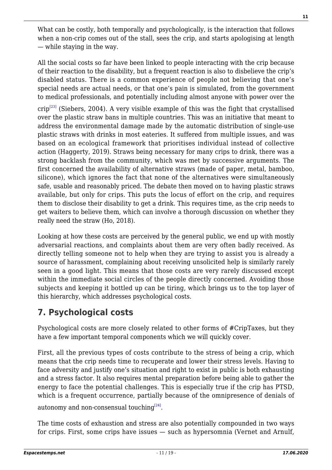What can be costly, both temporally and psychologically, is the interaction that follows when a non-crip comes out of the stall, sees the crip, and starts apologising at length — while staying in the way.

All the social costs so far have been linked to people interacting with the crip because of their reaction to the disability, but a frequent reaction is also to disbelieve the crip's disabled status. There is a common experience of people not believing that one's special needs are actual needs, or that one's pain is simulated, from the government to medical professionals, and potentially including almost anyone with power over the

<span id="page-10-0"></span> $crip<sup>[23]</sup>$  $crip<sup>[23]</sup>$  $crip<sup>[23]</sup>$  (Siebers, 2004). A very visible example of this was the fight that crystallised over the plastic straw bans in multiple countries. This was an initiative that meant to address the environmental damage made by the automatic distribution of single-use plastic straws with drinks in most eateries. It suffered from multiple issues, and was based on an ecological framework that prioritises individual instead of collective action (Haggerty, 2019). Straws being necessary for many crips to drink, there was a strong backlash from the community, which was met by successive arguments. The first concerned the availability of alternative straws (made of paper, metal, bamboo, silicone), which ignores the fact that none of the alternatives were simultaneously safe, usable and reasonably priced. The debate then moved on to having plastic straws available, but only for crips. This puts the locus of effort on the crip, and requires them to disclose their disability to get a drink. This requires time, as the crip needs to get waiters to believe them, which can involve a thorough discussion on whether they really need the straw (Ho, 2018).

Looking at how these costs are perceived by the general public, we end up with mostly adversarial reactions, and complaints about them are very often badly received. As directly telling someone not to help when they are trying to assist you is already a source of harassment, complaining about receiving unsolicited help is similarly rarely seen in a good light. This means that those costs are very rarely discussed except within the immediate social circles of the people directly concerned. Avoiding those subjects and keeping it bottled up can be tiring, which brings us to the top layer of this hierarchy, which addresses psychological costs.

# **7. Psychological costs**

Psychological costs are more closely related to other forms of #CripTaxes, but they have a few important temporal components which we will quickly cover.

First, all the previous types of costs contribute to the stress of being a crip, which means that the crip needs time to recuperate and lower their stress levels. Having to face adversity and justify one's situation and right to exist in public is both exhausting and a stress factor. It also requires mental preparation before being able to gather the energy to face the potential challenges. This is especially true if the crip has PTSD, which is a frequent occurrence, partially because of the omnipresence of denials of autonomy and non-consensual touching $^{[24]}$  $^{[24]}$  $^{[24]}$ .

<span id="page-10-1"></span>The time costs of exhaustion and stress are also potentially compounded in two ways for crips. First, some crips have issues — such as hypersomnia (Vernet and Arnulf,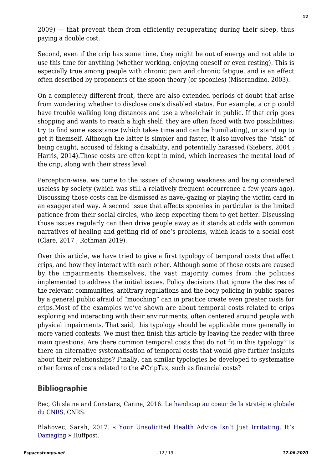2009) — that prevent them from efficiently recuperating during their sleep, thus paying a double cost.

Second, even if the crip has some time, they might be out of energy and not able to use this time for anything (whether working, enjoying oneself or even resting). This is especially true among people with chronic pain and chronic fatigue, and is an effect often described by proponents of the spoon theory (or spoonies) (Miserandino, 2003).

On a completely different front, there are also extended periods of doubt that arise from wondering whether to disclose one's disabled status. For example, a crip could have trouble walking long distances and use a wheelchair in public. If that crip goes shopping and wants to reach a high shelf, they are often faced with two possibilities: try to find some assistance (which takes time and can be humiliating), or stand up to get it themself. Although the latter is simpler and faster, it also involves the "risk" of being caught, accused of faking a disability, and potentially harassed (Siebers, 2004; Harris, 2014).Those costs are often kept in mind, which increases the mental load of the crip, along with their stress level.

Perception-wise, we come to the issues of showing weakness and being considered useless by society (which was still a relatively frequent occurrence a few years ago). Discussing those costs can be dismissed as navel-gazing or playing the victim card in an exaggerated way. A second issue that affects spoonies in particular is the limited patience from their social circles, who keep expecting them to get better. Discussing those issues regularly can then drive people away as it stands at odds with common narratives of healing and getting rid of one's problems, which leads to a social cost (Clare, 2017 ; Rothman 2019).

Over this article, we have tried to give a first typology of temporal costs that affect crips, and how they interact with each other. Although some of those costs are caused by the impairments themselves, the vast majority comes from the policies implemented to address the initial issues. Policy decisions that ignore the desires of the relevant communities, arbitrary regulations and the body policing in public spaces by a general public afraid of "mooching" can in practice create even greater costs for crips.Most of the examples we've shown are about temporal costs related to crips exploring and interacting with their environments, often centered around people with physical impairments. That said, this typology should be applicable more generally in more varied contexts. We must then finish this article by leaving the reader with three main questions. Are there common temporal costs that do not fit in this typology? Is there an alternative systematisation of temporal costs that would give further insights about their relationships? Finally, can similar typologies be developed to systematise other forms of costs related to the #CripTax, such as financial costs?

### **Bibliographie**

Bec, Ghislaine and Constans, Carine, 2016. [Le handicap au coeur de la stratégie globale](https://handicap.cnrs.fr/pdf/cnrs-plaquette-action-handicap-A4.pdf) [du CNRS,](https://handicap.cnrs.fr/pdf/cnrs-plaquette-action-handicap-A4.pdf) CNRS.

Blahovec, Sarah, 2017. « [Your Unsolicited Health Advice Isn't Just Irritating. It's](https://web.archive.org/web/20190208040902/https:/www.huffpost.com/entry/your-unsolicited-health-advice-isnt-just-irritating_b_59554111e4b0326c0a8d0eaf) [Damaging](https://web.archive.org/web/20190208040902/https:/www.huffpost.com/entry/your-unsolicited-health-advice-isnt-just-irritating_b_59554111e4b0326c0a8d0eaf) » Huffpost.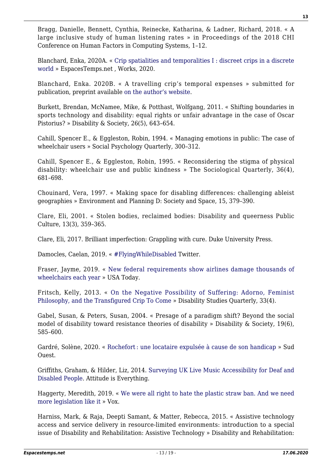Bragg, Danielle, Bennett, Cynthia, Reinecke, Katharina, & Ladner, Richard, 2018. « A large inclusive study of human listening rates » in Proceedings of the 2018 CHI Conference on Human Factors in Computing Systems, 1–12.

Blanchard, Enka, 2020A. « [Crip spatialities and temporalities I : discreet crips in a discrete](https://www.espacestemps.net/en/articles/discreet-crips-in-a-discrete-world-spatialities-and-temporalities-of-disability/) [world](https://www.espacestemps.net/en/articles/discreet-crips-in-a-discrete-world-spatialities-and-temporalities-of-disability/) » EspacesTemps.net , Works, 2020.

Blanchard, Enka. 2020B. « A travelling crip's temporal expenses » submitted for publication, preprint available [on the author's website](http://www.koliaza.com/files/Blanchard_Temporal_expenses.pdf).

Burkett, Brendan, McNamee, Mike, & Potthast, Wolfgang, 2011. « Shifting boundaries in sports technology and disability: equal rights or unfair advantage in the case of Oscar Pistorius? » Disability & Society, 26(5), 643–654.

Cahill, Spencer E., & Eggleston, Robin, 1994. « Managing emotions in public: The case of wheelchair users » Social Psychology Quarterly, 300–312.

Cahill, Spencer E., & Eggleston, Robin, 1995. « Reconsidering the stigma of physical disability: wheelchair use and public kindness » The Sociological Quarterly, 36(4), 681–698.

Chouinard, Vera, 1997. « Making space for disabling differences: challenging ableist geographies » Environment and Planning D: Society and Space, 15, 379–390.

Clare, Eli, 2001. « Stolen bodies, reclaimed bodies: Disability and queerness Public Culture, 13(3), 359–365.

Clare, Eli, 2017. Brilliant imperfection: Grappling with cure. Duke University Press.

Damocles, Caelan, 2019. « [#FlyingWhileDisabled](https://mobile.twitter.com/QuoiGender/status/1081997392558338048) Twitter.

Fraser, Jayme, 2019. « [New federal requirements show airlines damage thousands of](https://web.archive.org/web/20191220073207/https:/www.usatoday.com/story/news/nation/2019/11/22/airlines-department-transportation-report-damage-wheelchairs/4270695002/) [wheelchairs each year](https://web.archive.org/web/20191220073207/https:/www.usatoday.com/story/news/nation/2019/11/22/airlines-department-transportation-report-damage-wheelchairs/4270695002/) » USA Today.

Fritsch, Kelly, 2013. « [On the Negative Possibility of Suffering: Adorno, Feminist](https://dsq-sds.org/article/view/3869/3408) [Philosophy, and the Transfigured Crip To Come](https://dsq-sds.org/article/view/3869/3408) » Disability Studies Quarterly, 33(4).

Gabel, Susan, & Peters, Susan, 2004. « Presage of a paradigm shift? Beyond the social model of disability toward resistance theories of disability » Disability & Society, 19(6), 585–600.

Gardré, Solène, 2020. « Rochefort : une locataire expulsée à cause de son handicap » Sud Ouest.

Griffiths, Graham, & Hilder, Liz, 2014. [Surveying UK Live Music Accessibility for Deaf and](http://www.attitudeiseverything.org.uk/uploads/general/State_of_Access_Report_2014_-_Web_PDF.pdf) [Disabled People](http://www.attitudeiseverything.org.uk/uploads/general/State_of_Access_Report_2014_-_Web_PDF.pdf). Attitude is Everything.

Haggerty, Meredith, 2019. « [We were all right to hate the plastic straw ban. And we need](http://web.archive.org/web/20200209125616/https:/www.vox.com/the-goods/2019/12/27/21030090/straw-ban-environmental-regulation-plastic-ocean) [more legislation like it](http://web.archive.org/web/20200209125616/https:/www.vox.com/the-goods/2019/12/27/21030090/straw-ban-environmental-regulation-plastic-ocean) » Vox.

Harniss, Mark, & Raja, Deepti Samant, & Matter, Rebecca, 2015. « Assistive technology access and service delivery in resource-limited environments: introduction to a special issue of Disability and Rehabilitation: Assistive Technology » Disability and Rehabilitation: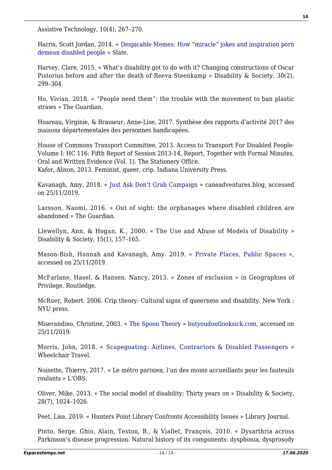Assistive Technology, 10(4), 267–270.

Harris, Scott Jordan, 2014. « [Despicable Memes: How "miracle" jokes and inspiration porn](https://web.archive.org/web/20190208095158/https:/slate.com/technology/2014/08/miracle-memes-and-inspiration-porn-internet-viral-images-demean-disabled-people.html) [demean disabled people](https://web.archive.org/web/20190208095158/https:/slate.com/technology/2014/08/miracle-memes-and-inspiration-porn-internet-viral-images-demean-disabled-people.html) » Slate.

Harvey, Clare, 2015. « What's disability got to do with it? Changing constructions of Oscar Pistorius before and after the death of Reeva Steenkamp » Disability & Society, 30(2), 299–304.

Ho, Vivian, 2018. « "People need them": the trouble with the movement to ban plastic straws » The Guardian.

Hoareau, Virginie, & Brasseur, Anne-Lise, 2017. Synthèse des rapports d'activité 2017 des maisons départementales des personnes handicapées.

House of Commons Transport Committee, 2013. Access to Transport For Disabled People-Volume I: HC 116: Fifth Report of Session 2013-14, Report, Together with Formal Minutes, Oral and Written Evidence (Vol. 1). The Stationery Office. Kafer, Alison, 2013. Feminist, queer, crip. Indiana University Press.

Kavanagh, Amy, 2018. « [Just Ask Don't Grab Campaign](https://caneadventures.blog/just-ask-dont-grab-campaign/) » caneadventures.blog, accessed on 25/11/2019.

Larsson, Naomi, 2016. « Out of sight: the orphanages where disabled children are abandoned » The Guardian.

Llewellyn, Ann, & Hogan, K., 2000. « The Use and Abuse of Models of Disability » Disability & Society, 15(1), 157–165.

Mason-Bish, Hannah and Kavanagh, Amy. 2019. « [Private Places, Public Spaces](https://privateplacespublicspaces.blog/about-the-project/) », accessed on 25/11/2019.

McFarlane, Hasel, & Hansen, Nancy, 2013. « Zones of exclusion » in Geographies of Privilege. Routledge.

McRuer, Robert. 2006. Crip theory: Cultural signs of queerness and disability. New York : NYU press.

Miserandino, Christine, 2003. « [The Spoon Theory](https://butyoudontlooksick.com/articles/written-by-christine/the-spoon-theory/) » [butyoudontlooksick.com](https://butyoudontlooksick.com/articles/written-by-christine/the-spoon-theory/), accessed on 25/11/2019.

Morris, John, 2018. « [Scapegoating: Airlines, Contractors & Disabled Passengers](https://web.archive.org/web/20180901073302/https:/wheelchairtravel.org/scapegoating-airlines-contractors-disabled-passengers/) » Wheelchair Travel.

Noisette, Thierry, 2017. « Le métro parisien, l'un des moins accueillants pour les fauteuils roulants » L'OBS.

Oliver, Mike, 2013. « The social model of disability: Thirty years on » Disability & Society, 28(7), 1024–1026.

Peet, Lisa, 2019. « Hunters Point Library Confronts Accessibility Issues » Library Journal.

Pinto, Serge, Ghio, Alain, Teston, B., & Viallet, François, 2010. « Dysarthria across Parkinson's disease progression. Natural history of its components: dysphonia, dysprosody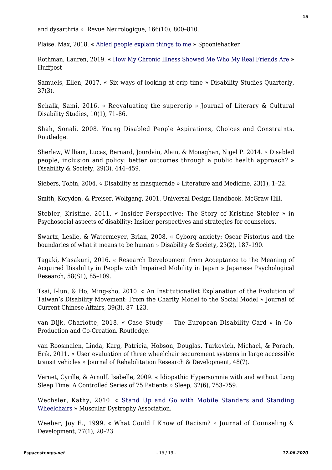and dysarthria » Revue Neurologique, 166(10), 800-810.

Plaise, Max, 2018. « [Abled people explain things to me](https://web.archive.org/web/20200221020138/https:/spooniehacker.com/fight/society/abled-people-explain-things-to-me-2/) » Spooniehacker

Rothman, Lauren, 2019. « [How My Chronic Illness Showed Me Who My Real Friends Are](http://web.archive.org/web/20200214194142/https:/www.huffpost.com/entry/chronic-illness-friendships_n_5c9bc47de4b07c88662fa379) » Huffpost

Samuels, Ellen, 2017. « Six ways of looking at crip time » Disability Studies Quarterly, 37(3).

Schalk, Sami, 2016. « Reevaluating the supercrip » Journal of Literary & Cultural Disability Studies, 10(1), 71–86.

Shah, Sonali. 2008. Young Disabled People Aspirations, Choices and Constraints. Routledge.

Sherlaw, William, Lucas, Bernard, Jourdain, Alain, & Monaghan, Nigel P. 2014. « Disabled people, inclusion and policy: better outcomes through a public health approach? » Disability & Society, 29(3), 444–459.

Siebers, Tobin, 2004. « Disability as masquerade » Literature and Medicine, 23(1), 1–22.

Smith, Korydon, & Preiser, Wolfgang, 2001. Universal Design Handbook. McGraw-Hill.

Stebler, Kristine, 2011. « Insider Perspective: The Story of Kristine Stebler » in Psychosocial aspects of disability: Insider perspectives and strategies for counselors.

Swartz, Leslie, & Watermeyer, Brian, 2008. « Cyborg anxiety: Oscar Pistorius and the boundaries of what it means to be human » Disability & Society, 23(2), 187–190.

Tagaki, Masakuni, 2016. « Research Development from Acceptance to the Meaning of Acquired Disability in People with Impaired Mobility in Japan » Japanese Psychological Research, 58(S1), 85–109.

Tsai, I-lun, & Ho, Ming-sho, 2010. « An Institutionalist Explanation of the Evolution of Taiwan's Disability Movement: From the Charity Model to the Social Model » Journal of Current Chinese Affairs, 39(3), 87–123.

van Dijk, Charlotte, 2018. « Case Study — The European Disability Card » in Co-Production and Co-Creation. Routledge.

van Roosmalen, Linda, Karg, Patricia, Hobson, Douglas, Turkovich, Michael, & Porach, Erik, 2011. « User evaluation of three wheelchair securement systems in large accessible transit vehicles » Journal of Rehabilitation Research & Development, 48(7).

Vernet, Cyrille, & Arnulf, Isabelle, 2009. « Idiopathic Hypersomnia with and without Long Sleep Time: A Controlled Series of 75 Patients » Sleep, 32(6), 753–759.

Wechsler, Kathy, 2010. « [Stand Up and Go with Mobile Standers and Standing](https://web.archive.org/web/20160805110236/https:/www.mda.org/quest/article/stand-and-go-mobile-standers-and-standing-wheelchairs) [Wheelchairs](https://web.archive.org/web/20160805110236/https:/www.mda.org/quest/article/stand-and-go-mobile-standers-and-standing-wheelchairs) » Muscular Dystrophy Association.

Weeber, Joy E., 1999. « What Could I Know of Racism? » Journal of Counseling & Development, 77(1), 20–23.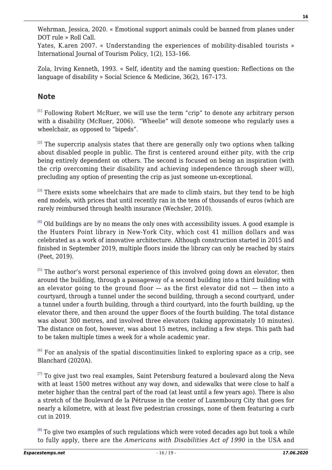Wehrman, Jessica, 2020. « Emotional support animals could be banned from planes under DOT rule » Roll Call.

Yates, K.aren 2007. « Understanding the experiences of mobility-disabled tourists » International Journal of Tourism Policy, 1(2), 153–166.

Zola, Irving Kenneth, 1993. « Self, identity and the naming question: Reflections on the language of disability » Social Science & Medicine, 36(2), 167–173.

### **Note**

<span id="page-15-0"></span> $[1]$  Following Robert McRuer, we will use the term "crip" to denote any arbitrary person with a disability (McRuer, 2006). "Wheelie" will denote someone who regularly uses a wheelchair, as opposed to "bipeds".

<span id="page-15-1"></span> $[2]$  The supercrip analysis states that there are generally only two options when talking about disabled people in public. The first is centered around either pity, with the crip being entirely dependent on others. The second is focused on being an inspiration (with the crip overcoming their disability and achieving independence through sheer will), precluding any option of presenting the crip as just someone un-exceptional.

<span id="page-15-2"></span> $[3]$  There exists some wheelchairs that are made to climb stairs, but they tend to be high end models, with prices that until recently ran in the tens of thousands of euros (which are rarely reimbursed through health insurance (Wechsler, 2010).

<span id="page-15-3"></span> $[4]$  Old buildings are by no means the only ones with accessibility issues. A good example is the Hunters Point library in New-York City, which cost 41 million dollars and was celebrated as a work of innovative architecture. Although construction started in 2015 and finished in September 2019, multiple floors inside the library can only be reached by stairs (Peet, 2019).

<span id="page-15-4"></span><sup>[\[5\]](#page-3-1)</sup> The author's worst personal experience of this involved going down an elevator, then around the building, through a passageway of a second building into a third building with an elevator going to the ground floor — as the first elevator did not — then into a courtyard, through a tunnel under the second building, through a second courtyard, under a tunnel under a fourth building, through a third courtyard, into the fourth building, up the elevator there, and then around the upper floors of the fourth building. The total distance was about 300 metres, and involved three elevators (taking approximately 10 minutes). The distance on foot, however, was about 15 metres, including a few steps. This path had to be taken multiple times a week for a whole academic year.

<span id="page-15-5"></span> $^{[6]}$  $^{[6]}$  $^{[6]}$  For an analysis of the spatial discontinuities linked to exploring space as a crip, see Blanchard (2020A).

<span id="page-15-6"></span> $[7]$  To give just two real examples, Saint Petersburg featured a boulevard along the Neva with at least 1500 metres without any way down, and sidewalks that were close to half a meter higher than the central part of the road (at least until a few years ago). There is also a stretch of the Boulevard de la Pétrusse in the center of Luxembourg City that goes for nearly a kilometre, with at least five pedestrian crossings, none of them featuring a curb cut in 2019.

<span id="page-15-7"></span> $[8]$  To give two examples of such regulations which were voted decades ago but took a while to fully apply, there are the *Americans with Disabilities Act of 1990* in the USA and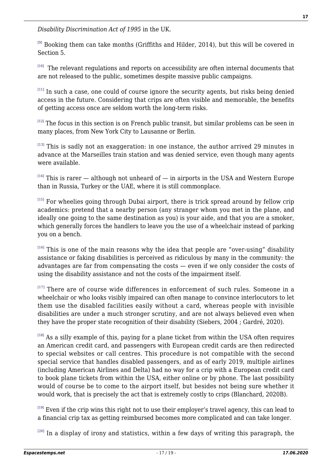*Disability Discrimination Act of 1995* in the UK.

<span id="page-16-0"></span> $[9]$  Booking them can take months (Griffiths and Hilder, 2014), but this will be covered in Section 5.

<span id="page-16-1"></span> $[10]$  The relevant regulations and reports on accessibility are often internal documents that are not released to the public, sometimes despite massive public campaigns.

<span id="page-16-2"></span> $[11]$  In such a case, one could of course ignore the security agents, but risks being denied access in the future. Considering that crips are often visible and memorable, the benefits of getting access once are seldom worth the long-term risks.

<span id="page-16-3"></span> $[12]$  The focus in this section is on French public transit, but similar problems can be seen in many places, from New York City to Lausanne or Berlin.

<span id="page-16-4"></span> $[13]$  This is sadly not an exaggeration: in one instance, the author arrived 29 minutes in advance at the Marseilles train station and was denied service, even though many agents were available.

<span id="page-16-5"></span> $[14]$  This is rarer – although not unheard of – in airports in the USA and Western Europe than in Russia, Turkey or the UAE, where it is still commonplace.

<span id="page-16-6"></span>[\[15\]](#page-6-1) For wheelies going through Dubai airport, there is trick spread around by fellow crip academics: pretend that a nearby person (any stranger whom you met in the plane, and ideally one going to the same destination as you) is your aide, and that you are a smoker, which generally forces the handlers to leave you the use of a wheelchair instead of parking you on a bench.

<span id="page-16-7"></span> $[16]$  This is one of the main reasons why the idea that people are "over-using" disability assistance or faking disabilities is perceived as ridiculous by many in the community: the advantages are far from compensating the costs — even if we only consider the costs of using the disability assistance and not the costs of the impairment itself.

<span id="page-16-8"></span>[\[17\]](#page-7-0) There are of course wide differences in enforcement of such rules. Someone in a wheelchair or who looks visibly impaired can often manage to convince interlocutors to let them use the disabled facilities easily without a card, whereas people with invisible disabilities are under a much stronger scrutiny, and are not always believed even when they have the proper state recognition of their disability (Siebers, 2004 ; Gardré, 2020).

<span id="page-16-9"></span>[\[18\]](#page-7-1) As a silly example of this, paying for a plane ticket from within the USA often requires an American credit card, and passengers with European credit cards are then redirected to special websites or call centres. This procedure is not compatible with the second special service that handles disabled passengers, and as of early 2019, multiple airlines (including American Airlines and Delta) had no way for a crip with a European credit card to book plane tickets from within the USA, either online or by phone. The last possibility would of course be to come to the airport itself, but besides not being sure whether it would work, that is precisely the act that is extremely costly to crips (Blanchard, 2020B).

<span id="page-16-10"></span> $[19]$  Even if the crip wins this right not to use their employer's travel agency, this can lead to a financial crip tax as getting reimbursed becomes more complicated and can take longer.

<span id="page-16-11"></span>[\[20\]](#page-9-0) In a display of irony and statistics, within a few days of writing this paragraph, the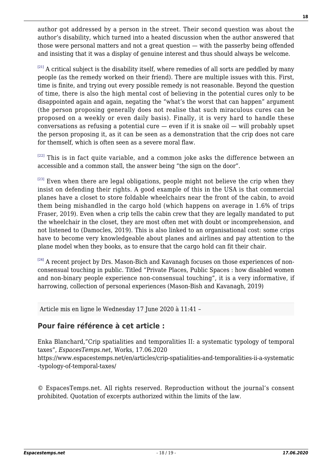author got addressed by a person in the street. Their second question was about the author's disability, which turned into a heated discussion when the author answered that those were personal matters and not a great question — with the passerby being offended and insisting that it was a display of genuine interest and thus should always be welcome.

<span id="page-17-0"></span> $[21]$  A critical subject is the disability itself, where remedies of all sorts are peddled by many people (as the remedy worked on their friend). There are multiple issues with this. First, time is finite, and trying out every possible remedy is not reasonable. Beyond the question of time, there is also the high mental cost of believing in the potential cures only to be disappointed again and again, negating the "what's the worst that can happen" argument (the person proposing generally does not realise that such miraculous cures can be proposed on a weekly or even daily basis). Finally, it is very hard to handle these conversations as refusing a potential cure  $-$  even if it is snake oil  $-$  will probably upset the person proposing it, as it can be seen as a demonstration that the crip does not care for themself, which is often seen as a severe moral flaw.

<span id="page-17-1"></span>[\[22\]](#page-9-2) This is in fact quite variable, and a common joke asks the difference between an accessible and a common stall, the answer being "the sign on the door".

<span id="page-17-2"></span> $[23]$  Even when there are legal obligations, people might not believe the crip when they insist on defending their rights. A good example of this in the USA is that commercial planes have a closet to store foldable wheelchairs near the front of the cabin, to avoid them being mishandled in the cargo hold (which happens on average in 1.6% of trips Fraser, 2019). Even when a crip tells the cabin crew that they are legally mandated to put the wheelchair in the closet, they are most often met with doubt or incomprehension, and not listened to (Damocles, 2019). This is also linked to an organisational cost: some crips have to become very knowledgeable about planes and airlines and pay attention to the plane model when they books, as to ensure that the cargo hold can fit their chair.

<span id="page-17-3"></span>[\[24\]](#page-10-1) A recent project by Drs. Mason-Bich and Kavanagh focuses on those experiences of nonconsensual touching in public. Titled "Private Places, Public Spaces : how disabled women and non-binary people experience non-consensual touching", it is a very informative, if harrowing, collection of personal experiences (Mason-Bish and Kavanagh, 2019)

Article mis en ligne le Wednesday 17 June 2020 à 11:41 –

#### **Pour faire référence à cet article :**

Enka Blanchard,"Crip spatialities and temporalities II: a systematic typology of temporal taxes", *EspacesTemps.net*, Works, 17.06.2020

https://www.espacestemps.net/en/articles/crip-spatialities-and-temporalities-ii-a-systematic -typology-of-temporal-taxes/

© EspacesTemps.net. All rights reserved. Reproduction without the journal's consent prohibited. Quotation of excerpts authorized within the limits of the law.